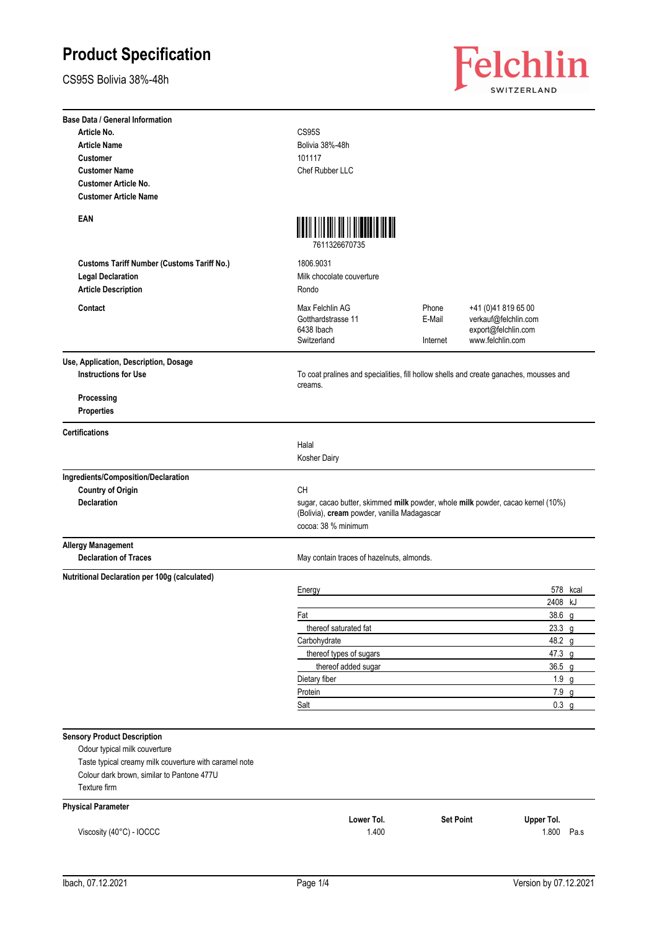CS95S Bolivia 38%-48h



| <b>Base Data / General Information</b>                              |                                                                                                                                                       |                             |                                                                                        |          |
|---------------------------------------------------------------------|-------------------------------------------------------------------------------------------------------------------------------------------------------|-----------------------------|----------------------------------------------------------------------------------------|----------|
| Article No.                                                         | CS95S                                                                                                                                                 |                             |                                                                                        |          |
| <b>Article Name</b>                                                 | Bolivia 38%-48h                                                                                                                                       |                             |                                                                                        |          |
| <b>Customer</b>                                                     | 101117                                                                                                                                                |                             |                                                                                        |          |
| <b>Customer Name</b>                                                | Chef Rubber LLC                                                                                                                                       |                             |                                                                                        |          |
| <b>Customer Article No.</b>                                         |                                                                                                                                                       |                             |                                                                                        |          |
| <b>Customer Article Name</b>                                        |                                                                                                                                                       |                             |                                                                                        |          |
| EAN                                                                 | <u> Mahi Lili Mil Mill Mahala Ma</u><br>7611326670735                                                                                                 |                             |                                                                                        |          |
| <b>Customs Tariff Number (Customs Tariff No.)</b>                   | 1806.9031                                                                                                                                             |                             |                                                                                        |          |
| <b>Legal Declaration</b>                                            | Milk chocolate couverture                                                                                                                             |                             |                                                                                        |          |
| <b>Article Description</b>                                          | Rondo                                                                                                                                                 |                             |                                                                                        |          |
|                                                                     |                                                                                                                                                       |                             |                                                                                        |          |
| Contact                                                             | Max Felchlin AG<br>Gotthardstrasse 11<br>6438 Ibach<br>Switzerland                                                                                    | Phone<br>E-Mail<br>Internet | +41 (0)41 819 65 00<br>verkauf@felchlin.com<br>export@felchlin.com<br>www.felchlin.com |          |
| Use, Application, Description, Dosage                               |                                                                                                                                                       |                             |                                                                                        |          |
| <b>Instructions for Use</b>                                         | To coat pralines and specialities, fill hollow shells and create ganaches, mousses and<br>creams.                                                     |                             |                                                                                        |          |
| Processing<br><b>Properties</b>                                     |                                                                                                                                                       |                             |                                                                                        |          |
| <b>Certifications</b>                                               |                                                                                                                                                       |                             |                                                                                        |          |
|                                                                     | Halal                                                                                                                                                 |                             |                                                                                        |          |
|                                                                     | Kosher Dairy                                                                                                                                          |                             |                                                                                        |          |
| Ingredients/Composition/Declaration                                 |                                                                                                                                                       |                             |                                                                                        |          |
| <b>Country of Origin</b>                                            | <b>CH</b>                                                                                                                                             |                             |                                                                                        |          |
| <b>Declaration</b>                                                  | sugar, cacao butter, skimmed milk powder, whole milk powder, cacao kernel (10%)<br>(Bolivia), cream powder, vanilla Madagascar<br>cocoa: 38 % minimum |                             |                                                                                        |          |
| <b>Allergy Management</b>                                           |                                                                                                                                                       |                             |                                                                                        |          |
| <b>Declaration of Traces</b>                                        | May contain traces of hazelnuts, almonds.                                                                                                             |                             |                                                                                        |          |
| Nutritional Declaration per 100g (calculated)                       |                                                                                                                                                       |                             |                                                                                        |          |
|                                                                     | Energy                                                                                                                                                |                             |                                                                                        | 578 kcal |
|                                                                     |                                                                                                                                                       |                             | 2408 kJ                                                                                |          |
|                                                                     | Fat                                                                                                                                                   |                             | 38.6 g                                                                                 |          |
|                                                                     | thereof saturated fat                                                                                                                                 |                             | $23.3$ g                                                                               |          |
|                                                                     | Carbohydrate                                                                                                                                          |                             | 48.2 g                                                                                 |          |
|                                                                     | thereof types of sugars                                                                                                                               |                             | 47.3 g                                                                                 |          |
|                                                                     | thereof added sugar                                                                                                                                   |                             | $36.5$ g                                                                               |          |
|                                                                     | Dietary fiber                                                                                                                                         |                             | $1.9$ g                                                                                |          |
|                                                                     | Protein                                                                                                                                               |                             | 7.9 g                                                                                  |          |
|                                                                     | Salt                                                                                                                                                  |                             | $0.3$ g                                                                                |          |
|                                                                     |                                                                                                                                                       |                             |                                                                                        |          |
| <b>Sensory Product Description</b><br>Odour typical milk couverture |                                                                                                                                                       |                             |                                                                                        |          |
| Taste typical creamy milk couverture with caramel note              |                                                                                                                                                       |                             |                                                                                        |          |
| Colour dark brown, similar to Pantone 477U                          |                                                                                                                                                       |                             |                                                                                        |          |
| Texture firm                                                        |                                                                                                                                                       |                             |                                                                                        |          |
|                                                                     |                                                                                                                                                       |                             |                                                                                        |          |
| <b>Physical Parameter</b>                                           |                                                                                                                                                       |                             |                                                                                        |          |
|                                                                     | Lower Tol.<br>1.400                                                                                                                                   | <b>Set Point</b>            | Upper Tol.<br>1.800                                                                    | Pa.s     |
| Viscosity (40°C) - IOCCC                                            |                                                                                                                                                       |                             |                                                                                        |          |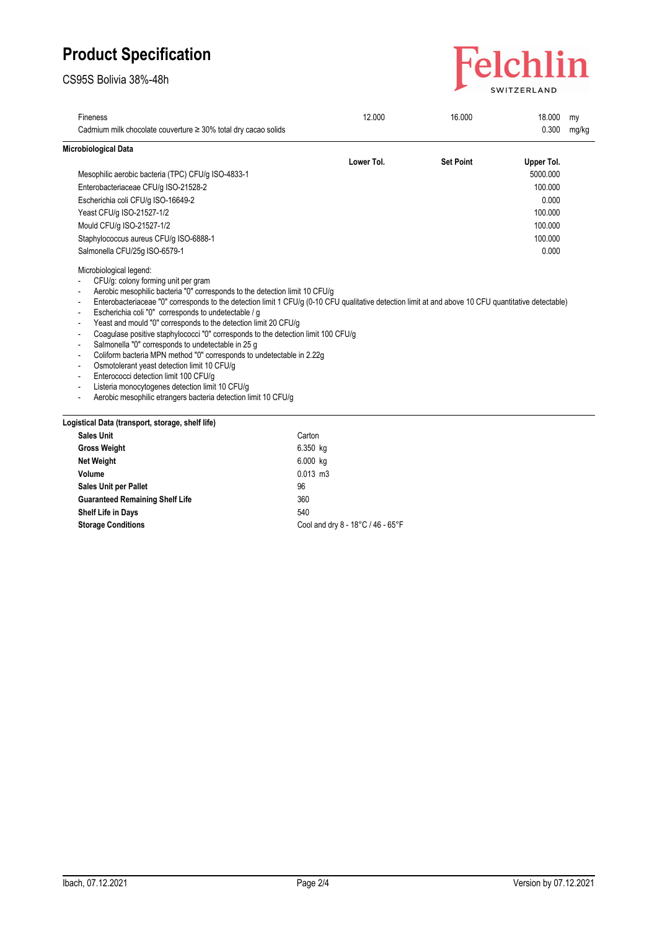### CS95S Bolivia 38%-48h



| Fineness                                                                                                                                                                                                                                                                                                                                                                                                                                                                                                                                                                                                                                                                                                                                                                                                                                                                                                                                                                          | 12.000     | 16.000           | 18.000     | mv    |
|-----------------------------------------------------------------------------------------------------------------------------------------------------------------------------------------------------------------------------------------------------------------------------------------------------------------------------------------------------------------------------------------------------------------------------------------------------------------------------------------------------------------------------------------------------------------------------------------------------------------------------------------------------------------------------------------------------------------------------------------------------------------------------------------------------------------------------------------------------------------------------------------------------------------------------------------------------------------------------------|------------|------------------|------------|-------|
| Cadmium milk chocolate couverture $\geq$ 30% total dry cacao solids                                                                                                                                                                                                                                                                                                                                                                                                                                                                                                                                                                                                                                                                                                                                                                                                                                                                                                               |            |                  | 0.300      | mg/kg |
| Microbiological Data                                                                                                                                                                                                                                                                                                                                                                                                                                                                                                                                                                                                                                                                                                                                                                                                                                                                                                                                                              |            |                  |            |       |
|                                                                                                                                                                                                                                                                                                                                                                                                                                                                                                                                                                                                                                                                                                                                                                                                                                                                                                                                                                                   | Lower Tol. | <b>Set Point</b> | Upper Tol. |       |
| Mesophilic aerobic bacteria (TPC) CFU/g ISO-4833-1                                                                                                                                                                                                                                                                                                                                                                                                                                                                                                                                                                                                                                                                                                                                                                                                                                                                                                                                |            |                  | 5000.000   |       |
| Enterobacteriaceae CFU/g ISO-21528-2                                                                                                                                                                                                                                                                                                                                                                                                                                                                                                                                                                                                                                                                                                                                                                                                                                                                                                                                              |            |                  | 100.000    |       |
| Escherichia coli CFU/g ISO-16649-2                                                                                                                                                                                                                                                                                                                                                                                                                                                                                                                                                                                                                                                                                                                                                                                                                                                                                                                                                |            |                  | 0.000      |       |
| Yeast CFU/g ISO-21527-1/2                                                                                                                                                                                                                                                                                                                                                                                                                                                                                                                                                                                                                                                                                                                                                                                                                                                                                                                                                         |            |                  | 100.000    |       |
| Mould CFU/g ISO-21527-1/2                                                                                                                                                                                                                                                                                                                                                                                                                                                                                                                                                                                                                                                                                                                                                                                                                                                                                                                                                         |            |                  | 100.000    |       |
| Staphylococcus aureus CFU/g ISO-6888-1                                                                                                                                                                                                                                                                                                                                                                                                                                                                                                                                                                                                                                                                                                                                                                                                                                                                                                                                            |            |                  | 100.000    |       |
| Salmonella CFU/25q ISO-6579-1                                                                                                                                                                                                                                                                                                                                                                                                                                                                                                                                                                                                                                                                                                                                                                                                                                                                                                                                                     |            |                  | 0.000      |       |
| Microbiological legend:<br>CFU/g: colony forming unit per gram<br>Aerobic mesophilic bacteria "0" corresponds to the detection limit 10 CFU/g<br>Enterobacteriaceae "0" corresponds to the detection limit 1 CFU/g (0-10 CFU qualitative detection limit at and above 10 CFU quantitative detectable)<br>$\overline{\phantom{a}}$<br>Escherichia coli "0" corresponds to undetectable / g<br>Yeast and mould "0" corresponds to the detection limit 20 CFU/g<br>Coagulase positive staphylococci "0" corresponds to the detection limit 100 CFU/g<br>$\overline{\phantom{a}}$<br>Salmonella "0" corresponds to undetectable in 25 g<br>Coliform bacteria MPN method "0" corresponds to undetectable in 2.22g<br>Osmotolerant yeast detection limit 10 CFU/g<br>$\overline{\phantom{a}}$<br>Enterococci detection limit 100 CFU/g<br>Listeria monocytogenes detection limit 10 CFU/g<br>Aerobic mesophilic etrangers bacteria detection limit 10 CFU/g<br>$\overline{\phantom{a}}$ |            |                  |            |       |
| Logistical Data (transport, storage, shelf life)                                                                                                                                                                                                                                                                                                                                                                                                                                                                                                                                                                                                                                                                                                                                                                                                                                                                                                                                  |            |                  |            |       |
| <b>Sales Unit</b>                                                                                                                                                                                                                                                                                                                                                                                                                                                                                                                                                                                                                                                                                                                                                                                                                                                                                                                                                                 | Carton     |                  |            |       |

| <b>Sales Unit</b>                      | Carton                            |
|----------------------------------------|-----------------------------------|
| <b>Gross Weight</b>                    | 6.350 kg                          |
| <b>Net Weight</b>                      | 6.000 kg                          |
| Volume                                 | $0.013$ m $3$                     |
| <b>Sales Unit per Pallet</b>           | 96                                |
| <b>Guaranteed Remaining Shelf Life</b> | 360                               |
| Shelf Life in Days                     | 540                               |
| <b>Storage Conditions</b>              | Cool and dry 8 - 18°C / 46 - 65°F |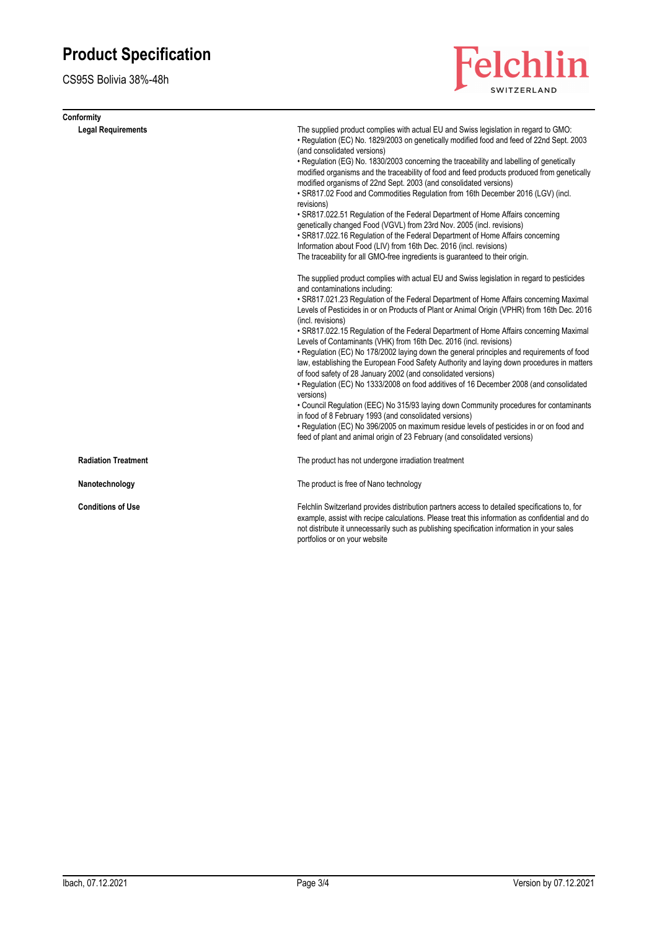CS95S Bolivia 38%-48h

| Conformity                 |                                                                                                                                                                                                                                                                                                                                                                                                                                                                                                                                                                                                                                                                                                                                                                                                                                                                                                                                                                                                                                                                                                                                                                                                           |
|----------------------------|-----------------------------------------------------------------------------------------------------------------------------------------------------------------------------------------------------------------------------------------------------------------------------------------------------------------------------------------------------------------------------------------------------------------------------------------------------------------------------------------------------------------------------------------------------------------------------------------------------------------------------------------------------------------------------------------------------------------------------------------------------------------------------------------------------------------------------------------------------------------------------------------------------------------------------------------------------------------------------------------------------------------------------------------------------------------------------------------------------------------------------------------------------------------------------------------------------------|
| <b>Legal Requirements</b>  | The supplied product complies with actual EU and Swiss legislation in regard to GMO:<br>• Regulation (EC) No. 1829/2003 on genetically modified food and feed of 22nd Sept. 2003<br>(and consolidated versions)<br>• Regulation (EG) No. 1830/2003 concerning the traceability and labelling of genetically<br>modified organisms and the traceability of food and feed products produced from genetically<br>modified organisms of 22nd Sept. 2003 (and consolidated versions)<br>. SR817.02 Food and Commodities Regulation from 16th December 2016 (LGV) (incl.<br>revisions)<br>• SR817.022.51 Regulation of the Federal Department of Home Affairs concerning<br>genetically changed Food (VGVL) from 23rd Nov. 2005 (incl. revisions)<br>• SR817.022.16 Regulation of the Federal Department of Home Affairs concerning<br>Information about Food (LIV) from 16th Dec. 2016 (incl. revisions)<br>The traceability for all GMO-free ingredients is guaranteed to their origin.                                                                                                                                                                                                                       |
|                            | The supplied product complies with actual EU and Swiss legislation in regard to pesticides<br>and contaminations including:<br>• SR817.021.23 Regulation of the Federal Department of Home Affairs concerning Maximal<br>Levels of Pesticides in or on Products of Plant or Animal Origin (VPHR) from 16th Dec. 2016<br>(incl. revisions)<br>• SR817.022.15 Regulation of the Federal Department of Home Affairs concerning Maximal<br>Levels of Contaminants (VHK) from 16th Dec. 2016 (incl. revisions)<br>• Regulation (EC) No 178/2002 laying down the general principles and requirements of food<br>law, establishing the European Food Safety Authority and laying down procedures in matters<br>of food safety of 28 January 2002 (and consolidated versions)<br>• Regulation (EC) No 1333/2008 on food additives of 16 December 2008 (and consolidated<br>versions)<br>• Council Regulation (EEC) No 315/93 laying down Community procedures for contaminants<br>in food of 8 February 1993 (and consolidated versions)<br>• Regulation (EC) No 396/2005 on maximum residue levels of pesticides in or on food and<br>feed of plant and animal origin of 23 February (and consolidated versions) |
| <b>Radiation Treatment</b> | The product has not undergone irradiation treatment                                                                                                                                                                                                                                                                                                                                                                                                                                                                                                                                                                                                                                                                                                                                                                                                                                                                                                                                                                                                                                                                                                                                                       |
| Nanotechnology             | The product is free of Nano technology                                                                                                                                                                                                                                                                                                                                                                                                                                                                                                                                                                                                                                                                                                                                                                                                                                                                                                                                                                                                                                                                                                                                                                    |
| <b>Conditions of Use</b>   | Felchlin Switzerland provides distribution partners access to detailed specifications to, for<br>example, assist with recipe calculations. Please treat this information as confidential and do<br>not distribute it unnecessarily such as publishing specification information in your sales<br>portfolios or on your website                                                                                                                                                                                                                                                                                                                                                                                                                                                                                                                                                                                                                                                                                                                                                                                                                                                                            |

Felchlin